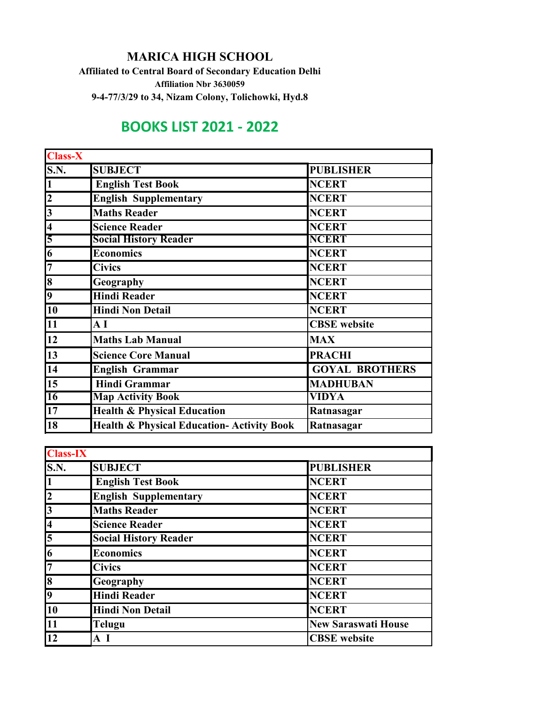## **MARICA HIGH SCHOOL**

**Affiliated to Central Board of Secondary Education Delhi Affiliation Nbr 3630059 9-4-77/3/29 to 34, Nizam Colony, Tolichowki, Hyd.8**

## **BOOKS LIST 2021 - 2022**

| <b>Class-X</b>          |                                                       |                       |
|-------------------------|-------------------------------------------------------|-----------------------|
| <b>S.N.</b>             | <b>SUBJECT</b>                                        | <b>PUBLISHER</b>      |
| $\mathbf{1}$            | <b>English Test Book</b>                              | <b>NCERT</b>          |
| $\overline{\mathbf{2}}$ | <b>English Supplementary</b>                          | <b>NCERT</b>          |
| $\overline{\mathbf{3}}$ | <b>Maths Reader</b>                                   | <b>NCERT</b>          |
| $\overline{\mathbf{4}}$ | <b>Science Reader</b>                                 | <b>NCERT</b>          |
| 5                       | <b>Social History Reader</b>                          | <b>NCERT</b>          |
| $\overline{\mathbf{6}}$ | <b>Economics</b>                                      | <b>NCERT</b>          |
| $\overline{7}$          | <b>Civics</b>                                         | <b>NCERT</b>          |
| 8                       | Geography                                             | <b>NCERT</b>          |
| $\overline{\mathbf{9}}$ | <b>Hindi Reader</b>                                   | <b>NCERT</b>          |
| 10                      | <b>Hindi Non Detail</b>                               | <b>NCERT</b>          |
| 11                      | $\mathbf{A}$ $\mathbf{I}$                             | <b>CBSE</b> website   |
| 12                      | <b>Maths Lab Manual</b>                               | <b>MAX</b>            |
| 13                      | <b>Science Core Manual</b>                            | <b>PRACHI</b>         |
| 14                      | <b>English Grammar</b>                                | <b>GOYAL BROTHERS</b> |
| 15                      | <b>Hindi Grammar</b>                                  | <b>MADHUBAN</b>       |
| 16                      | <b>Map Activity Book</b>                              | <b>VIDYA</b>          |
| 17                      | <b>Health &amp; Physical Education</b>                | Ratnasagar            |
| <b>18</b>               | <b>Health &amp; Physical Education- Activity Book</b> | Ratnasagar            |

| <b>Class-IX</b>           |                              |                            |
|---------------------------|------------------------------|----------------------------|
| <b>S.N.</b>               | <b>SUBJECT</b>               | <b>PUBLISHER</b>           |
| $\overline{1}$            | <b>English Test Book</b>     | <b>NCERT</b>               |
| $\overline{\mathbf{2}}$   | <b>English Supplementary</b> | <b>NCERT</b>               |
| $\overline{3}$            | <b>Maths Reader</b>          | <b>NCERT</b>               |
| $\overline{4}$            | <b>Science Reader</b>        | <b>NCERT</b>               |
| $\overline{\overline{5}}$ | <b>Social History Reader</b> | <b>NCERT</b>               |
| $\overline{6}$            | <b>Economics</b>             | <b>NCERT</b>               |
| 7                         | <b>Civics</b>                | <b>NCERT</b>               |
| $\overline{\bf 8}$        | Geography                    | <b>NCERT</b>               |
| $\overline{9}$            | <b>Hindi Reader</b>          | <b>NCERT</b>               |
| 10                        | <b>Hindi Non Detail</b>      | <b>NCERT</b>               |
| $\overline{11}$           | <b>Telugu</b>                | <b>New Saraswati House</b> |
| <b>12</b>                 | A I                          | <b>CBSE</b> website        |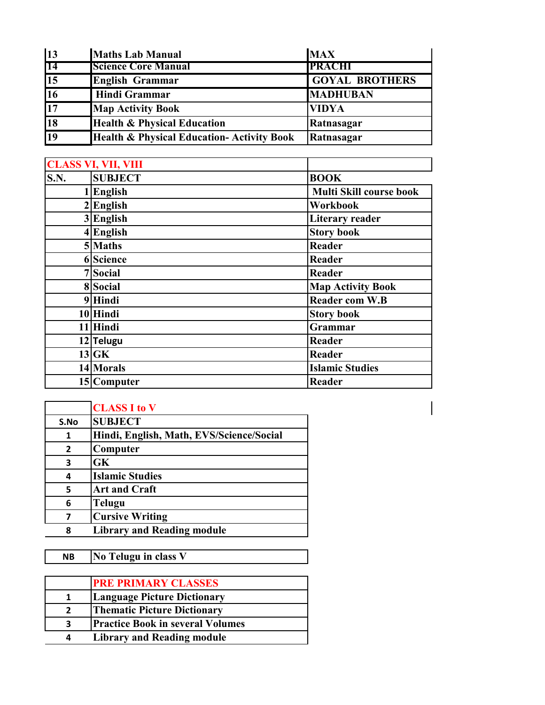| $\vert$ 13      | <b>Maths Lab Manual</b>                               | <b>MAX</b>            |
|-----------------|-------------------------------------------------------|-----------------------|
| $\overline{14}$ | <b>Science Core Manual</b>                            | <b>PRACHI</b>         |
| $\overline{15}$ | <b>English Grammar</b>                                | <b>GOYAL BROTHERS</b> |
| 16              | <b>Hindi Grammar</b>                                  | <b>MADHUBAN</b>       |
| $\overline{17}$ | <b>Map Activity Book</b>                              | <b>VIDYA</b>          |
| $\overline{18}$ | <b>Health &amp; Physical Education</b>                | Ratnasagar            |
| $\overline{19}$ | <b>Health &amp; Physical Education- Activity Book</b> | Ratnasagar            |

|      | <b>CLASS VI, VII, VIII</b> |                                |
|------|----------------------------|--------------------------------|
| S.N. | <b>SUBJECT</b>             | <b>BOOK</b>                    |
|      | 1 English                  | <b>Multi Skill course book</b> |
|      | $2$ <i>English</i>         | Workbook                       |
|      | 3 English                  | <b>Literary reader</b>         |
|      | $4$ English                | <b>Story book</b>              |
|      | 5 Maths                    | <b>Reader</b>                  |
|      | 6 Science                  | Reader                         |
|      | 7 Social                   | Reader                         |
|      | 8 Social                   | <b>Map Activity Book</b>       |
|      | 9 Hindi                    | <b>Reader com W.B</b>          |
|      | 10 Hindi                   | <b>Story book</b>              |
|      | 11 Hindi                   | Grammar                        |
|      | 12 Telugu                  | Reader                         |
|      | $13$ GK                    | Reader                         |
|      | 14 Morals                  | <b>Islamic Studies</b>         |
|      | 15 Computer                | Reader                         |

 $\vert$ 

|                | <b>CLASS I to V</b>                      |
|----------------|------------------------------------------|
| S.No           | <b>SUBJECT</b>                           |
| 1              | Hindi, English, Math, EVS/Science/Social |
| $\overline{2}$ | Computer                                 |
| 3              | <b>GK</b>                                |
| 4              | <b>Islamic Studies</b>                   |
| 5              | <b>Art and Craft</b>                     |
| 6              | <b>Telugu</b>                            |
| 7              | <b>Cursive Writing</b>                   |
| 8              | <b>Library and Reading module</b>        |

**NB No Telugu in class V**

|   | <b>PRE PRIMARY CLASSES</b>              |
|---|-----------------------------------------|
| 1 | <b>Language Picture Dictionary</b>      |
| 2 | <b>Thematic Picture Dictionary</b>      |
| 3 | <b>Practice Book in several Volumes</b> |
| Δ | <b>Library and Reading module</b>       |